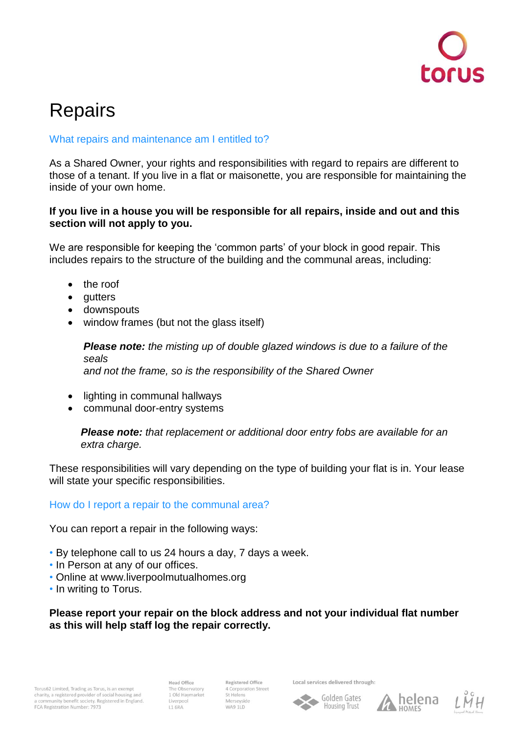

# **Repairs**

## What repairs and maintenance am I entitled to?

As a Shared Owner, your rights and responsibilities with regard to repairs are different to those of a tenant. If you live in a flat or maisonette, you are responsible for maintaining the inside of your own home.

### **If you live in a house you will be responsible for all repairs, inside and out and this section will not apply to you.**

We are responsible for keeping the 'common parts' of your block in good repair. This includes repairs to the structure of the building and the communal areas, including:

- the roof
- gutters
- downspouts
- window frames (but not the glass itself)

*Please note: the misting up of double glazed windows is due to a failure of the seals and not the frame, so is the responsibility of the Shared Owner*

- lighting in communal hallways
- communal door-entry systems

*Please note: that replacement or additional door entry fobs are available for an extra charge.*

These responsibilities will vary depending on the type of building your flat is in. Your lease will state your specific responsibilities.

## How do I report a repair to the communal area?

You can report a repair in the following ways:

- By telephone call to us 24 hours a day, 7 days a week.
- In Person at any of our offices.
- Online at www.liverpoolmutualhomes.org
- In writing to Torus.

**Please report your repair on the block address and not your individual flat number as this will help staff log the repair correctly.** 

**Head Office** The Observatory 1 Old Haymarket **L1 6RA** 

Registered Office 4 Corporation Street St Helens Merseyside WA9 1LD

Local services delivered through: